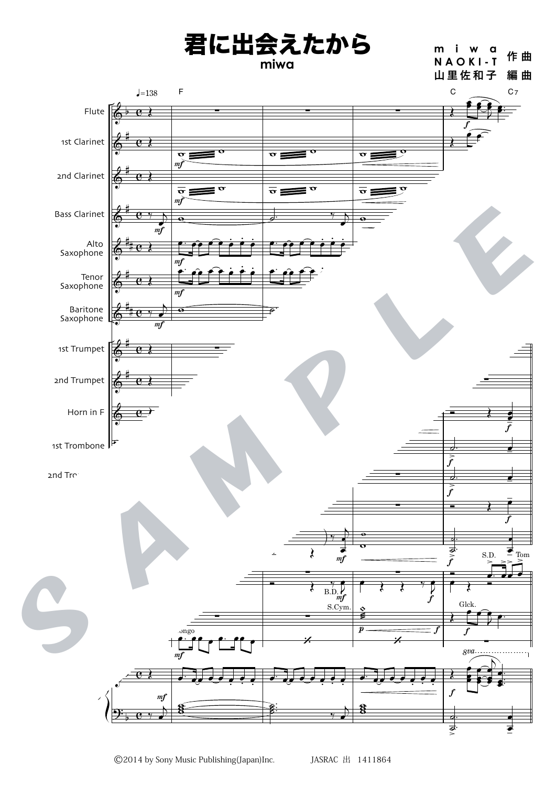